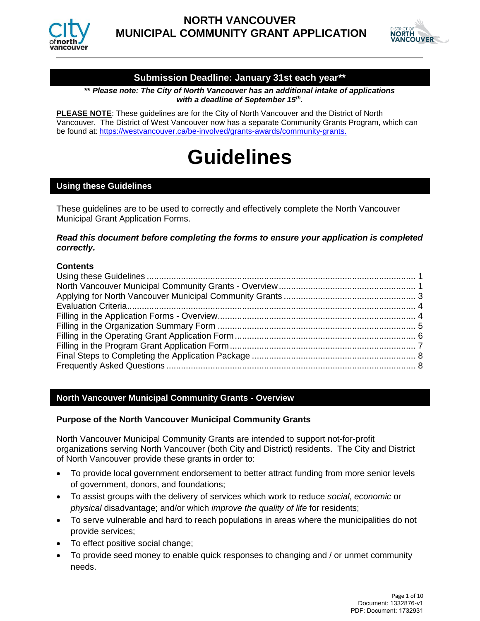



# **Submission Deadline: January 31st each year\*\***

**\*\*** *Please note: The City of North Vancouver has an additional intake of applications with a deadline of September 15th .*

**PLEASE NOTE**: These guidelines are for the City of North Vancouver and the District of North Vancouver. The District of West Vancouver now has a separate Community Grants Program, which can be found at: [https://westvancouver.ca/be-involved/grants-awards/community-grants.](https://westvancouver.ca/be-involved/grants-awards/community-grants)

# **Guidelines**

# <span id="page-0-0"></span>**Using these Guidelines**

These guidelines are to be used to correctly and effectively complete the North Vancouver Municipal Grant Application Forms.

# *Read this document before completing the forms to ensure your application is completed correctly.*

# **Contents**

# <span id="page-0-1"></span>**North Vancouver Municipal Community Grants - Overview**

# **Purpose of the North Vancouver Municipal Community Grants**

North Vancouver Municipal Community Grants are intended to support not-for-profit organizations serving North Vancouver (both City and District) residents. The City and District of North Vancouver provide these grants in order to:

- To provide local government endorsement to better attract funding from more senior levels of government, donors, and foundations;
- To assist groups with the delivery of services which work to reduce *social*, *economic* or *physical* disadvantage; and/or which *improve the quality of life* for residents;
- To serve vulnerable and hard to reach populations in areas where the municipalities do not provide services;
- To effect positive social change;
- To provide seed money to enable quick responses to changing and / or unmet community needs.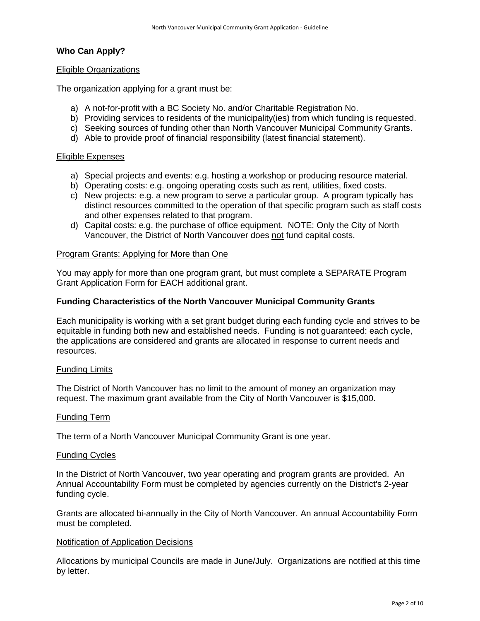# **Who Can Apply?**

## Eligible Organizations

The organization applying for a grant must be:

- a) A not-for-profit with a BC Society No. and/or Charitable Registration No.
- b) Providing services to residents of the municipality(ies) from which funding is requested.
- c) Seeking sources of funding other than North Vancouver Municipal Community Grants.
- d) Able to provide proof of financial responsibility (latest financial statement).

## Eligible Expenses

- a) Special projects and events: e.g. hosting a workshop or producing resource material.
- b) Operating costs: e.g. ongoing operating costs such as rent, utilities, fixed costs.
- c) New projects: e.g. a new program to serve a particular group. A program typically has distinct resources committed to the operation of that specific program such as staff costs and other expenses related to that program.
- d) Capital costs: e.g. the purchase of office equipment. NOTE: Only the City of North Vancouver, the District of North Vancouver does not fund capital costs.

## Program Grants: Applying for More than One

You may apply for more than one program grant, but must complete a SEPARATE Program Grant Application Form for EACH additional grant.

## **Funding Characteristics of the North Vancouver Municipal Community Grants**

Each municipality is working with a set grant budget during each funding cycle and strives to be equitable in funding both new and established needs. Funding is not guaranteed: each cycle, the applications are considered and grants are allocated in response to current needs and resources.

## Funding Limits

The District of North Vancouver has no limit to the amount of money an organization may request. The maximum grant available from the City of North Vancouver is \$15,000.

## Funding Term

The term of a North Vancouver Municipal Community Grant is one year.

## Funding Cycles

In the District of North Vancouver, two year operating and program grants are provided. An Annual Accountability Form must be completed by agencies currently on the District's 2-year funding cycle.

Grants are allocated bi-annually in the City of North Vancouver. An annual Accountability Form must be completed.

## Notification of Application Decisions

Allocations by municipal Councils are made in June/July. Organizations are notified at this time by letter.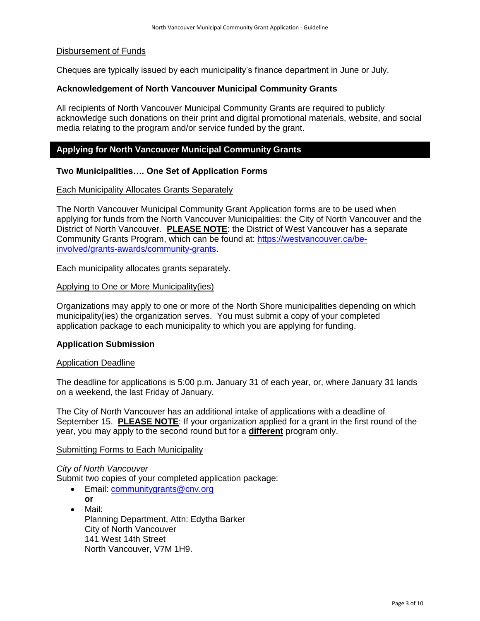# Disbursement of Funds

Cheques are typically issued by each municipality's finance department in June or July.

# **Acknowledgement of North Vancouver Municipal Community Grants**

All recipients of North Vancouver Municipal Community Grants are required to publicly acknowledge such donations on their print and digital promotional materials, website, and social media relating to the program and/or service funded by the grant.

# <span id="page-2-0"></span>**Applying for North Vancouver Municipal Community Grants**

# **Two Municipalities…. One Set of Application Forms**

## Each Municipality Allocates Grants Separately

The North Vancouver Municipal Community Grant Application forms are to be used when applying for funds from the North Vancouver Municipalities: the City of North Vancouver and the District of North Vancouver. **PLEASE NOTE**: the District of West Vancouver has a separate Community Grants Program, which can be found at: [https://westvancouver.ca/be](https://westvancouver.ca/be-involved/grants-awards/community-grants)[involved/grants-awards/community-grants.](https://westvancouver.ca/be-involved/grants-awards/community-grants)

Each municipality allocates grants separately.

## Applying to One or More Municipality(ies)

Organizations may apply to one or more of the North Shore municipalities depending on which municipality(ies) the organization serves. You must submit a copy of your completed application package to each municipality to which you are applying for funding.

## **Application Submission**

## Application Deadline

The deadline for applications is 5:00 p.m. January 31 of each year, or, where January 31 lands on a weekend, the last Friday of January.

The City of North Vancouver has an additional intake of applications with a deadline of September 15. **PLEASE NOTE**: If your organization applied for a grant in the first round of the year, you may apply to the second round but for a **different** program only.

# Submitting Forms to Each Municipality

# *City of North Vancouver*

Submit two copies of your completed application package:

- Email: [communitygrants@cnv.org](mailto:communitygrants@cnv.org) **or**
- Mail: Planning Department, Attn: Edytha Barker City of North Vancouver 141 West 14th Street North Vancouver, V7M 1H9.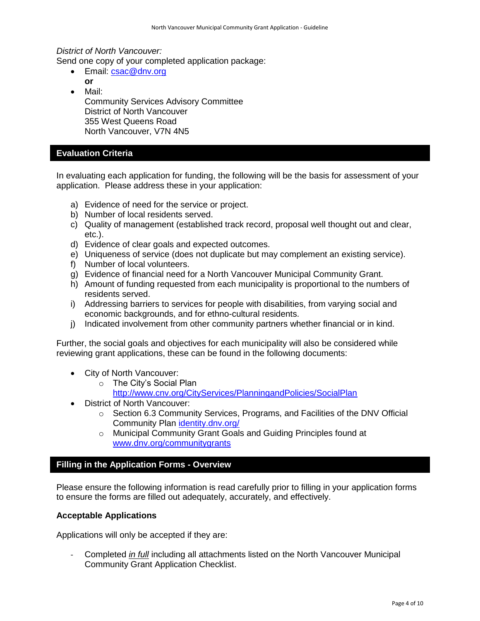*District of North Vancouver:*

Send one copy of your completed application package:

- Email: [csac@dnv.org](mailto:csac@dnv.org) **or**
- Mail:
- Community Services Advisory Committee District of North Vancouver 355 West Queens Road North Vancouver, V7N 4N5

# <span id="page-3-0"></span>**Evaluation Criteria**

In evaluating each application for funding, the following will be the basis for assessment of your application. Please address these in your application:

- a) Evidence of need for the service or project.
- b) Number of local residents served.
- c) Quality of management (established track record, proposal well thought out and clear, etc.).
- d) Evidence of clear goals and expected outcomes.
- e) Uniqueness of service (does not duplicate but may complement an existing service).
- f) Number of local volunteers.
- g) Evidence of financial need for a North Vancouver Municipal Community Grant.
- h) Amount of funding requested from each municipality is proportional to the numbers of residents served.
- i) Addressing barriers to services for people with disabilities, from varying social and economic backgrounds, and for ethno-cultural residents.
- j) Indicated involvement from other community partners whether financial or in kind.

Further, the social goals and objectives for each municipality will also be considered while reviewing grant applications, these can be found in the following documents:

- City of North Vancouver:
	- o The City's Social Plan
		- [http://www.cnv.org/CityServices/PlanningandPolicies/SocialPlan](http://www.cnv.org/City%20Services/Planning%20and%20Policies/Social%20Plan)
- District of North Vancouver:
	- $\circ$  Section 6.3 Community Services, Programs, and Facilities of the DNV Official Community Plan [identity.dnv.org/](http://identity.dnv.org/)
	- o Municipal Community Grant Goals and Guiding Principles found at [www.dnv.org/communitygrants](http://www.dnv.org/communitygrants)

# <span id="page-3-1"></span>**Filling in the Application Forms - Overview**

Please ensure the following information is read carefully prior to filling in your application forms to ensure the forms are filled out adequately, accurately, and effectively.

# **Acceptable Applications**

Applications will only be accepted if they are:

- Completed *in full* including all attachments listed on the North Vancouver Municipal Community Grant Application Checklist.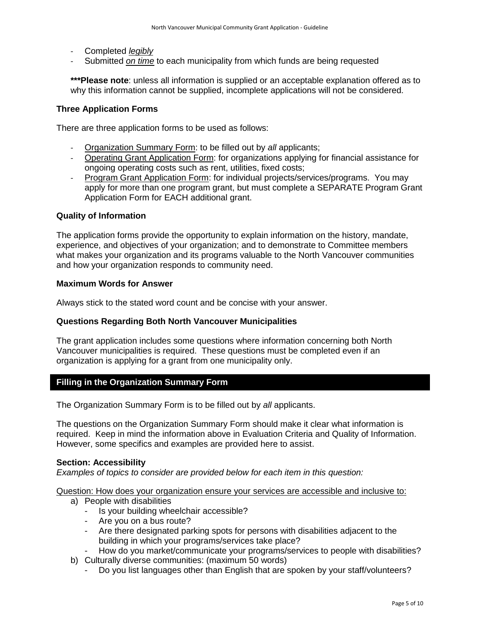- Completed *legibly*
- Submitted *on time* to each municipality from which funds are being requested

**\*\*\*Please note**: unless all information is supplied or an acceptable explanation offered as to why this information cannot be supplied, incomplete applications will not be considered.

# **Three Application Forms**

There are three application forms to be used as follows:

- Organization Summary Form: to be filled out by *all* applicants;
- Operating Grant Application Form: for organizations applying for financial assistance for ongoing operating costs such as rent, utilities, fixed costs;
- Program Grant Application Form: for individual projects/services/programs. You may apply for more than one program grant, but must complete a SEPARATE Program Grant Application Form for EACH additional grant.

## <span id="page-4-1"></span>**Quality of Information**

The application forms provide the opportunity to explain information on the history, mandate, experience, and objectives of your organization; and to demonstrate to Committee members what makes your organization and its programs valuable to the North Vancouver communities and how your organization responds to community need.

## **Maximum Words for Answer**

Always stick to the stated word count and be concise with your answer.

# **Questions Regarding Both North Vancouver Municipalities**

The grant application includes some questions where information concerning both North Vancouver municipalities is required. These questions must be completed even if an organization is applying for a grant from one municipality only.

# <span id="page-4-0"></span>**Filling in the Organization Summary Form**

The Organization Summary Form is to be filled out by *all* applicants.

The questions on the Organization Summary Form should make it clear what information is required. Keep in mind the information above in [Evaluation Criteria](#page-3-0) and [Quality of Information.](#page-4-1) However, some specifics and examples are provided here to assist.

## **Section: Accessibility**

*Examples of topics to consider are provided below for each item in this question:*

Question: How does your organization ensure your services are accessible and inclusive to:

- a) People with disabilities
	- Is your building wheelchair accessible?
	- Are you on a bus route?
	- Are there designated parking spots for persons with disabilities adjacent to the building in which your programs/services take place?
	- How do you market/communicate your programs/services to people with disabilities?
- b) Culturally diverse communities: (maximum 50 words)
	- Do you list languages other than English that are spoken by your staff/volunteers?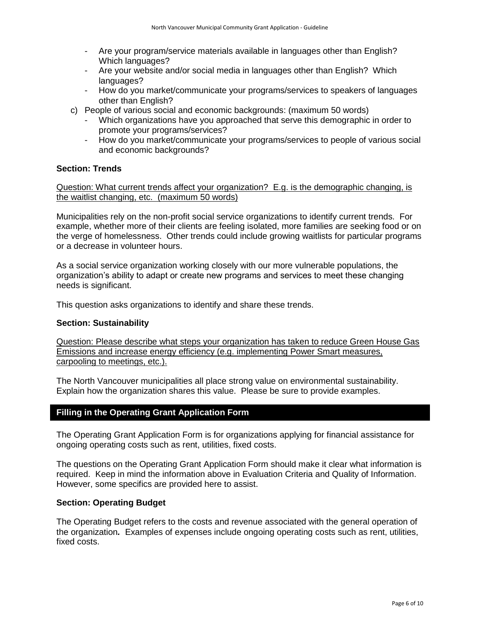- Are your program/service materials available in languages other than English? Which languages?
- Are your website and/or social media in languages other than English? Which languages?
- How do you market/communicate your programs/services to speakers of languages other than English?
- c) People of various social and economic backgrounds: (maximum 50 words)
	- Which organizations have you approached that serve this demographic in order to promote your programs/services?
	- How do you market/communicate your programs/services to people of various social and economic backgrounds?

# **Section: Trends**

Question: What current trends affect your organization? E.g. is the demographic changing, is the waitlist changing, etc. (maximum 50 words)

Municipalities rely on the non-profit social service organizations to identify current trends. For example, whether more of their clients are feeling isolated, more families are seeking food or on the verge of homelessness. Other trends could include growing waitlists for particular programs or a decrease in volunteer hours.

As a social service organization working closely with our more vulnerable populations, the organization's ability to adapt or create new programs and services to meet these changing needs is significant.

This question asks organizations to identify and share these trends.

# **Section: Sustainability**

Question: Please describe what steps your organization has taken to reduce Green House Gas Emissions and increase energy efficiency (e.g. implementing Power Smart measures, carpooling to meetings, etc.).

The North Vancouver municipalities all place strong value on environmental sustainability. Explain how the organization shares this value. Please be sure to provide examples.

# <span id="page-5-0"></span>**Filling in the Operating Grant Application Form**

The Operating Grant Application Form is for organizations applying for financial assistance for ongoing operating costs such as rent, utilities, fixed costs.

The questions on the Operating Grant Application Form should make it clear what information is required. Keep in mind the information above in [Evaluation Criteria](#page-3-0) and [Quality of Information.](#page-4-1) However, some specifics are provided here to assist.

# **Section: Operating Budget**

The Operating Budget refers to the costs and revenue associated with the general operation of the organization*.* Examples of expenses include ongoing operating costs such as rent, utilities, fixed costs.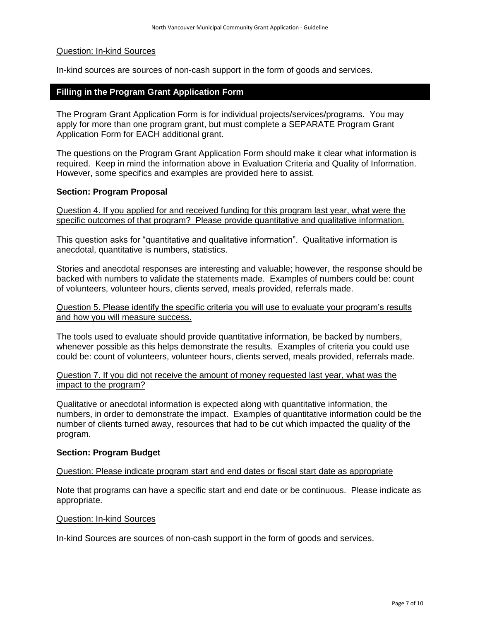## Question: In-kind Sources

<span id="page-6-0"></span>In-kind sources are sources of non-cash support in the form of goods and services.

# **Filling in the Program Grant Application Form**

The Program Grant Application Form is for individual projects/services/programs. You may apply for more than one program grant, but must complete a SEPARATE Program Grant Application Form for EACH additional grant.

The questions on the Program Grant Application Form should make it clear what information is required. Keep in mind the information above in [Evaluation Criteria](#page-3-0) and [Quality of Information.](#page-4-1) However, some specifics and examples are provided here to assist.

## **Section: Program Proposal**

Question 4. If you applied for and received funding for this program last year, what were the specific outcomes of that program? Please provide quantitative and qualitative information.

This question asks for "quantitative and qualitative information". Qualitative information is anecdotal, quantitative is numbers, statistics.

Stories and anecdotal responses are interesting and valuable; however, the response should be backed with numbers to validate the statements made. Examples of numbers could be: count of volunteers, volunteer hours, clients served, meals provided, referrals made.

Question 5. Please identify the specific criteria you will use to evaluate your program's results and how you will measure success.

The tools used to evaluate should provide quantitative information, be backed by numbers, whenever possible as this helps demonstrate the results. Examples of criteria you could use could be: count of volunteers, volunteer hours, clients served, meals provided, referrals made.

Question 7. If you did not receive the amount of money requested last year, what was the impact to the program?

Qualitative or anecdotal information is expected along with quantitative information, the numbers, in order to demonstrate the impact. Examples of quantitative information could be the number of clients turned away, resources that had to be cut which impacted the quality of the program.

## **Section: Program Budget**

## Question: Please indicate program start and end dates or fiscal start date as appropriate

Note that programs can have a specific start and end date or be continuous. Please indicate as appropriate.

## Question: In-kind Sources

In-kind Sources are sources of non-cash support in the form of goods and services.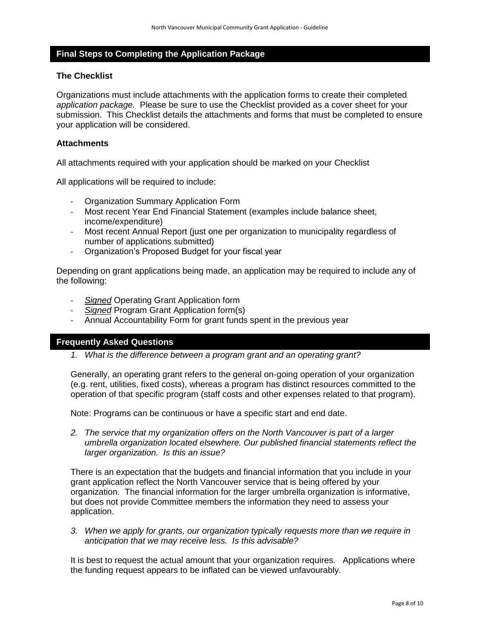# <span id="page-7-0"></span>**Final Steps to Completing the Application Package**

# **The Checklist**

Organizations must include attachments with the application forms to create their completed *application package.* Please be sure to use the Checklist provided as a cover sheet for your submission. This Checklist details the attachments and forms that must be completed to ensure your application will be considered.

## **Attachments**

All attachments required with your application should be marked on your Checklist

All applications will be required to include:

- Organization Summary Application Form
- Most recent Year End Financial Statement (examples include balance sheet, income/expenditure)
- Most recent Annual Report (just one per organization to municipality regardless of number of applications submitted)
- Organization's Proposed Budget for your fiscal year

Depending on grant applications being made, an application may be required to include any of the following:

- *Signed* Operating Grant Application form
- *Signed* Program Grant Application form(s)
- Annual Accountability Form for grant funds spent in the previous year

## <span id="page-7-1"></span>**Frequently Asked Questions**

*1. What is the difference between a program grant and an operating grant?*

Generally, an operating grant refers to the general on-going operation of your organization (e.g. rent, utilities, fixed costs), whereas a program has distinct resources committed to the operation of that specific program (staff costs and other expenses related to that program).

Note: Programs can be continuous or have a specific start and end date.

*2. The service that my organization offers on the North Vancouver is part of a larger umbrella organization located elsewhere. Our published financial statements reflect the larger organization. Is this an issue?*

There is an expectation that the budgets and financial information that you include in your grant application reflect the North Vancouver service that is being offered by your organization. The financial information for the larger umbrella organization is informative, but does not provide Committee members the information they need to assess your application.

*3. When we apply for grants, our organization typically requests more than we require in anticipation that we may receive less. Is this advisable?*

It is best to request the actual amount that your organization requires. Applications where the funding request appears to be inflated can be viewed unfavourably.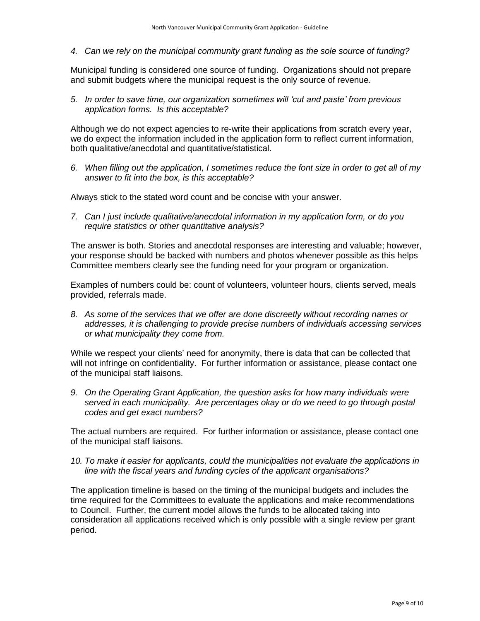*4. Can we rely on the municipal community grant funding as the sole source of funding?*

Municipal funding is considered one source of funding. Organizations should not prepare and submit budgets where the municipal request is the only source of revenue.

*5. In order to save time, our organization sometimes will 'cut and paste' from previous application forms. Is this acceptable?*

Although we do not expect agencies to re-write their applications from scratch every year, we do expect the information included in the application form to reflect current information, both qualitative/anecdotal and quantitative/statistical.

*6. When filling out the application, I sometimes reduce the font size in order to get all of my answer to fit into the box, is this acceptable?*

Always stick to the stated word count and be concise with your answer.

*7. Can I just include qualitative/anecdotal information in my application form, or do you require statistics or other quantitative analysis?*

The answer is both. Stories and anecdotal responses are interesting and valuable; however, your response should be backed with numbers and photos whenever possible as this helps Committee members clearly see the funding need for your program or organization.

Examples of numbers could be: count of volunteers, volunteer hours, clients served, meals provided, referrals made.

*8. As some of the services that we offer are done discreetly without recording names or addresses, it is challenging to provide precise numbers of individuals accessing services or what municipality they come from.*

While we respect your clients' need for anonymity, there is data that can be collected that will not infringe on confidentiality. For further information or assistance, please contact one of the municipal staff liaisons.

*9. On the Operating Grant Application, the question asks for how many individuals were served in each municipality. Are percentages okay or do we need to go through postal codes and get exact numbers?*

The actual numbers are required. For further information or assistance, please contact one of the municipal staff liaisons.

# *10. To make it easier for applicants, could the municipalities not evaluate the applications in line with the fiscal years and funding cycles of the applicant organisations?*

The application timeline is based on the timing of the municipal budgets and includes the time required for the Committees to evaluate the applications and make recommendations to Council. Further, the current model allows the funds to be allocated taking into consideration all applications received which is only possible with a single review per grant period.